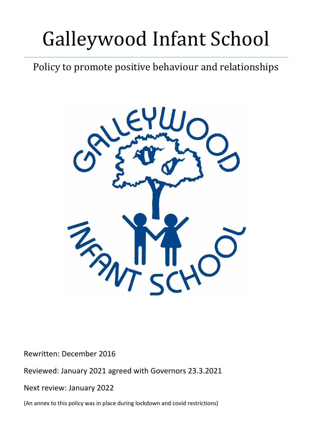# Galleywood Infant School

## Policy to promote positive behaviour and relationships



Rewritten: December 2016

Reviewed: January 2021 agreed with Governors 23.3.2021

Next review: January 2022

(An annex to this policy was in place during lockdown and covid restrictions)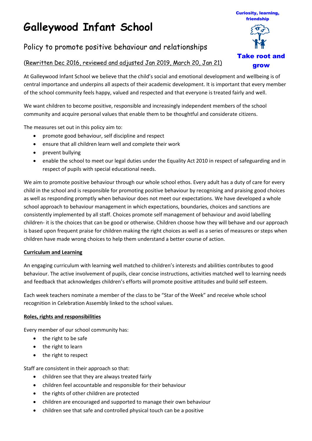## **Galleywood Infant School**

### Policy to promote positive behaviour and relationships

#### (Rewritten Dec 2016, reviewed and adjusted Jan 2019, March 20, Jan 21)

Take root and grow

Curiosity, learning, friendship

At Galleywood Infant School we believe that the child's social and emotional development and wellbeing is of central importance and underpins all aspects of their academic development. It is important that every member of the school community feels happy, valued and respected and that everyone is treated fairly and well.

We want children to become positive, responsible and increasingly independent members of the school community and acquire personal values that enable them to be thoughtful and considerate citizens.

The measures set out in this policy aim to:

- promote good behaviour, self discipline and respect
- ensure that all children learn well and complete their work
- prevent bullying
- enable the school to meet our legal duties under the Equality Act 2010 in respect of safeguarding and in respect of pupils with special educational needs.

We aim to promote positive behaviour through our whole school ethos. Every adult has a duty of care for every child in the school and is responsible for promoting positive behaviour by recognising and praising good choices as well as responding promptly when behaviour does not meet our expectations. We have developed a whole school approach to behaviour management in which expectations, boundaries, choices and sanctions are consistently implemented by all staff. Choices promote self management of behaviour and avoid labelling children- it is the choices that can be good or otherwise. Children choose how they will behave and our approach is based upon frequent praise for children making the right choices as well as a series of measures or steps when children have made wrong choices to help them understand a better course of action.

#### **Curriculum and Learning**

An engaging curriculum with learning well matched to children's interests and abilities contributes to good behaviour. The active involvement of pupils, clear concise instructions, activities matched well to learning needs and feedback that acknowledges children's efforts will promote positive attitudes and build self esteem.

Each week teachers nominate a member of the class to be "Star of the Week" and receive whole school recognition in Celebration Assembly linked to the school values.

#### **Roles, rights and responsibilities**

Every member of our school community has:

- the right to be safe
- the right to learn
- the right to respect

Staff are consistent in their approach so that:

- children see that they are always treated fairly
- children feel accountable and responsible for their behaviour
- the rights of other children are protected
- children are encouraged and supported to manage their own behaviour
- children see that safe and controlled physical touch can be a positive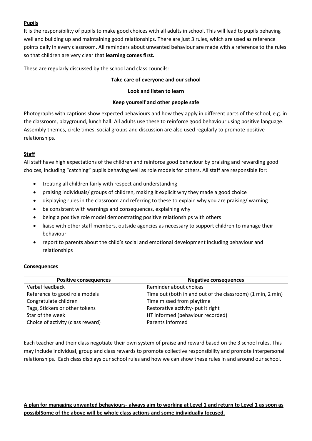#### **Pupils**

It is the responsibility of pupils to make good choices with all adults in school. This will lead to pupils behaving well and building up and maintaining good relationships. There are just 3 rules, which are used as reference points daily in every classroom. All reminders about unwanted behaviour are made with a reference to the rules so that children are very clear that **learning comes first.**

These are regularly discussed by the school and class councils:

#### **Take care of everyone and our school**

#### **Look and listen to learn**

#### **Keep yourself and other people safe**

Photographs with captions show expected behaviours and how they apply in different parts of the school, e.g. in the classroom, playground, lunch hall. All adults use these to reinforce good behaviour using positive language. Assembly themes, circle times, social groups and discussion are also used regularly to promote positive relationships.

#### **Staff**

All staff have high expectations of the children and reinforce good behaviour by praising and rewarding good choices, including "catching" pupils behaving well as role models for others. All staff are responsible for:

- treating all children fairly with respect and understanding
- praising individuals/ groups of children, making it explicit why they made a good choice
- displaying rules in the classroom and referring to these to explain why you are praising/ warning
- be consistent with warnings and consequences, explaining why
- being a positive role model demonstrating positive relationships with others
- liaise with other staff members, outside agencies as necessary to support children to manage their behaviour
- report to parents about the child's social and emotional development including behaviour and relationships

#### **Consequences**

| <b>Positive consequences</b>      | <b>Negative consequences</b>                               |
|-----------------------------------|------------------------------------------------------------|
| Verbal feedback                   | Reminder about choices                                     |
| Reference to good role models     | Time out (both in and out of the classroom) (1 min, 2 min) |
| Congratulate children             | Time missed from playtime                                  |
| Tags, Stickers or other tokens    | Restorative activity- put it right                         |
| Star of the week                  | HT informed (behaviour recorded)                           |
| Choice of activity (class reward) | Parents informed                                           |

Each teacher and their class negotiate their own system of praise and reward based on the 3 school rules. This may include individual, group and class rewards to promote collective responsibility and promote interpersonal relationships. Each class displays our school rules and how we can show these rules in and around our school.

**A plan for managing unwanted behaviours- always aim to working at Level 1 and return to Level 1 as soon as possiblSome of the above will be whole class actions and some individually focused.**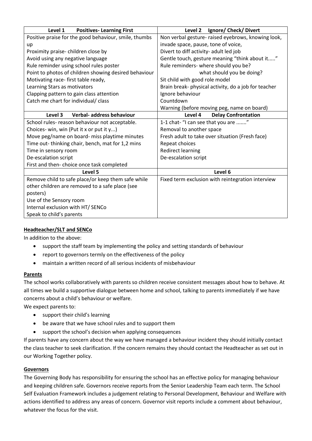| Level 1<br><b>Positives-Learning First</b>            | Level 2<br>Ignore/ Check/ Divert                     |
|-------------------------------------------------------|------------------------------------------------------|
| Positive praise for the good behaviour, smile, thumbs | Non verbal gesture- raised eyebrows, knowing look,   |
| up                                                    | invade space, pause, tone of voice,                  |
| Proximity praise-children close by                    | Divert to diff activity- adult led job               |
| Avoid using any negative language                     | Gentle touch, gesture meaning "think about it"       |
| Rule reminder using school rules poster               | Rule reminders- where should you be?                 |
| Point to photos of children showing desired behaviour | what should you be doing?                            |
| Motivating race-first table ready,                    | Sit child with good role model                       |
| Learning Stars as motivators                          | Brain break- physical activity, do a job for teacher |
| Clapping pattern to gain class attention              | Ignore behaviour                                     |
| Catch me chart for individual/ class                  | Countdown                                            |
|                                                       | Warning (before moving peg, name on board)           |
| Verbal- address behaviour<br>Level 3                  | Level 4<br><b>Delay Confrontation</b>                |
| School rules- reason behaviour not acceptable.        | 1-1 chat- "I can see that you are "                  |
| Choices- win, win (Put it x or put it y)              | Removal to another space                             |
| Move peg/name on board- miss playtime minutes         | Fresh adult to take over situation (Fresh face)      |
| Time out-thinking chair, bench, mat for 1,2 mins      | Repeat choices                                       |
| Time in sensory room                                  | <b>Redirect learning</b>                             |
| De-escalation script                                  | De-escalation script                                 |
| First and then- choice once task completed            |                                                      |
| Level 5                                               | Level 6                                              |
| Remove child to safe place/or keep them safe while    | Fixed term exclusion with reintegration interview    |
| other children are removed to a safe place (see       |                                                      |
| posters)                                              |                                                      |
| Use of the Sensory room                               |                                                      |
| Internal exclusion with HT/ SENCo                     |                                                      |
| Speak to child's parents                              |                                                      |

#### **Headteacher/SLT and SENCo**

In addition to the above:

- support the staff team by implementing the policy and setting standards of behaviour
- report to governors termly on the effectiveness of the policy
- maintain a written record of all serious incidents of misbehaviour

#### **Parents**

The school works collaboratively with parents so children receive consistent messages about how to behave. At all times we build a supportive dialogue between home and school, talking to parents immediately if we have concerns about a child's behaviour or welfare.

We expect parents to:

- support their child's learning
- be aware that we have school rules and to support them
- support the school's decision when applying consequences

If parents have any concern about the way we have managed a behaviour incident they should initially contact the class teacher to seek clarification. If the concern remains they should contact the Headteacher as set out in our Working Together policy.

#### **Governors**

The Governing Body has responsibility for ensuring the school has an effective policy for managing behaviour and keeping children safe. Governors receive reports from the Senior Leadership Team each term. The School Self Evaluation Framework includes a judgement relating to Personal Development, Behaviour and Welfare with actions identified to address any areas of concern. Governor visit reports include a comment about behaviour, whatever the focus for the visit.